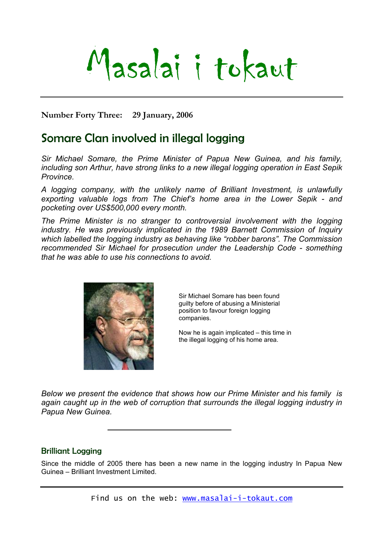# Masalai i tokaut

**Number Forty Three: 29 January, 2006** 

# Somare Clan involved in illegal logging

*Sir Michael Somare, the Prime Minister of Papua New Guinea, and his family, including son Arthur, have strong links to a new illegal logging operation in East Sepik Province.* 

*A logging company, with the unlikely name of Brilliant Investment, is unlawfully exporting valuable logs from The Chief's home area in the Lower Sepik - and pocketing over US\$500,000 every month.* 

*The Prime Minister is no stranger to controversial involvement with the logging industry. He was previously implicated in the 1989 Barnett Commission of Inquiry which labelled the logging industry as behaving like "robber barons". The Commission recommended Sir Michael for prosecution under the Leadership Code - something that he was able to use his connections to avoid.* 



Sir Michael Somare has been found guilty before of abusing a Ministerial position to favour foreign logging companies.

Now he is again implicated – this time in the illegal logging of his home area.

*Below we present the evidence that shows how our Prime Minister and his family is again caught up in the web of corruption that surrounds the illegal logging industry in Papua New Guinea.* 

## Brilliant Logging

Since the middle of 2005 there has been a new name in the logging industry In Papua New Guinea – Brilliant Investment Limited.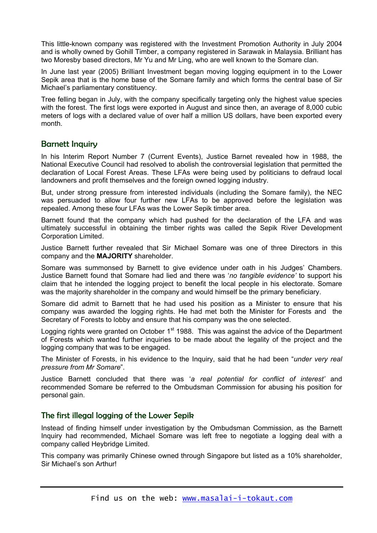This little-known company was registered with the Investment Promotion Authority in July 2004 and is wholly owned by Gohill Timber, a company registered in Sarawak in Malaysia. Brilliant has two Moresby based directors, Mr Yu and Mr Ling, who are well known to the Somare clan.

In June last year (2005) Brilliant Investment began moving logging equipment in to the Lower Sepik area that is the home base of the Somare family and which forms the central base of Sir Michael's parliamentary constituency.

Tree felling began in July, with the company specifically targeting only the highest value species with the forest. The first logs were exported in August and since then, an average of 8,000 cubic meters of logs with a declared value of over half a million US dollars, have been exported every month.

### Barnett Inquiry

In his Interim Report Number 7 (Current Events), Justice Barnet revealed how in 1988, the National Executive Council had resolved to abolish the controversial legislation that permitted the declaration of Local Forest Areas. These LFAs were being used by politicians to defraud local landowners and profit themselves and the foreign owned logging industry.

But, under strong pressure from interested individuals (including the Somare family), the NEC was persuaded to allow four further new LFAs to be approved before the legislation was repealed. Among these four LFAs was the Lower Sepik timber area.

Barnett found that the company which had pushed for the declaration of the LFA and was ultimately successful in obtaining the timber rights was called the Sepik River Development Corporation Limited.

Justice Barnett further revealed that Sir Michael Somare was one of three Directors in this company and the **MAJORITY** shareholder.

Somare was summonsed by Barnett to give evidence under oath in his Judges' Chambers. Justice Barnett found that Somare had lied and there was '*no tangible evidence'* to support his claim that he intended the logging project to benefit the local people in his electorate. Somare was the majority shareholder in the company and would himself be the primary beneficiary.

Somare did admit to Barnett that he had used his position as a Minister to ensure that his company was awarded the logging rights. He had met both the Minister for Forests and the Secretary of Forests to lobby and ensure that his company was the one selected.

Logging rights were granted on October  $1<sup>st</sup>$  1988. This was against the advice of the Department of Forests which wanted further inquiries to be made about the legality of the project and the logging company that was to be engaged.

The Minister of Forests, in his evidence to the Inquiry, said that he had been "*under very real pressure from Mr Somare*".

Justice Barnett concluded that there was '*a real potential for conflict of interest'* and recommended Somare be referred to the Ombudsman Commission for abusing his position for personal gain.

#### The first illegal logging of the Lower Sepik

Instead of finding himself under investigation by the Ombudsman Commission, as the Barnett Inquiry had recommended, Michael Somare was left free to negotiate a logging deal with a company called Heybridge Limited.

This company was primarily Chinese owned through Singapore but listed as a 10% shareholder, Sir Michael's son Arthur!